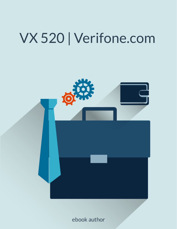

ebook author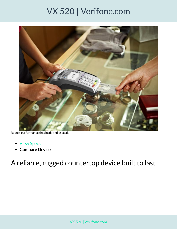

Robust performance that leads and exceeds

- View [Specs](https://www.verifone.com/en/us/devices/countertops-pin-pads/vx-520#product-specifications)
- Compare Device

A reliable, rugged countertop device built to last

#### VX [520|Verifone.com](https://www.verifone.com/en/us/devices/countertops-pin-pads/vx-520)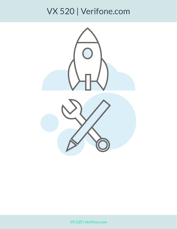

VX [520|Verifone.com](https://www.verifone.com/en/us/devices/countertops-pin-pads/vx-520)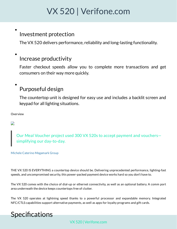### Investment protection

The VX 520 delivers performance, reliability and long-lasting functionality.

#### Increase productivity

Faster checkout speeds allow you to complete more transactions and get consumers on their way more quickly.

### Purposeful design

The countertop unit is designed for easy use and includes a backlit screen and keypad for all lighting situations.

**Overview** 

 $\overline{\phantom{a}}$ 

Our Meal Voucher project used 300 VX 520s to accept payment and vouchers simplifying our day-to-day.

Michele Caterino Megamark Group

THE VX 520 IS EVERYTHING a countertop device should be. Delivering unprecedented performance, lighting-fast speeds, and uncompromised security, this power-packed payment device works hard so you don't have to.

The VX 520 comes with the choice of dial-up or ethernet connectivity, as well as an optional battery. A comm port area underneath the device keeps countertops free of clutter.

The VX 520 operates at lightning speed thanks to a powerful processor and expandable memory. Integrated NFC/CTLS capabilities support alternative payments, as well as apps for loyalty programs and gift cards.

### Specifications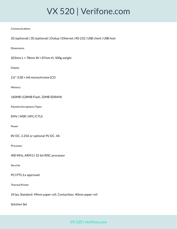#### Communications

2G (optional) | 3G (optional) | Dialup | Ethernet | RS-232 | USB client | USB host

Dimensions

203mm L × 78mm W × 87mm H; 500g weight

Display

2.6" (128 × 64) monochrome LCD

Memory

160MB (128MB Flash, 32MB SDRAM)

Payment Acceptance Types

EMV | MSR | NFC/CTLS

Power

8V DC, 2.25A or optional 9V DC, 4A

Processor

400 MHz, ARM11 32-bit RISC processor

Security

PCI PTS 3.x approved

Thermal Printer

24 lps, Standard: 49mm paper roll, Contactless: 40mm paper roll

Solution Set

#### VX [520|Verifone.com](https://www.verifone.com/en/us/devices/countertops-pin-pads/vx-520)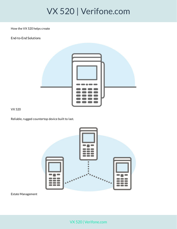How the VX 520 helps create

End-to-End Solutions



VX 520

Reliable, rugged countertop device built to last.



Estate Management